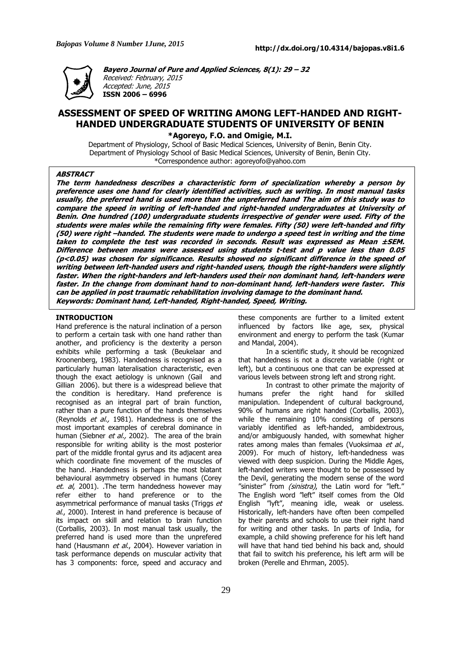

**Bayero Journal of Pure and Applied Sciences, 8(1): 29 – 32**  Received: February, 2015 Accepted: June, 2015 **ISSN 2006 – 6996** 

# **ASSESSMENT OF SPEED OF WRITING AMONG LEFT-HANDED AND RIGHT-HANDED UNDERGRADUATE STUDENTS OF UNIVERSITY OF BENIN**

**\*Agoreyo, F.O. and Omigie, M.I.** 

Department of Physiology, School of Basic Medical Sciences, University of Benin, Benin City. Department of Physiology School of Basic Medical Sciences, University of Benin, Benin City. \*Correspondence author: agoreyofo@yahoo.com

## **ABSTRACT**

**The term handedness describes a characteristic form of specialization whereby a person by preference uses one hand for clearly identified activities, such as writing. In most manual tasks usually, the preferred hand is used more than the unpreferred hand . The aim of this study was to compare the speed in writing of left-handed and right-handed undergraduates at University of Benin. One hundred (100) undergraduate students irrespective of gender were used. Fifty of the students were males while the remaining fifty were females. Fifty (50) were left-handed and fifty (50) were right –handed. The students were made to undergo a speed test in writing and the time taken to complete the test was recorded in seconds. Result was expressed as Mean ±SEM. Difference between means were assessed using students t-test and p value less than 0.05 (p<0.05) was chosen for significance. Results showed no significant difference in the speed of writing between left-handed users and right-handed users, though the right-handers were slightly faster. When the right-handers and left-handers used their non dominant hand, left-handers were faster. In the change from dominant hand to non-dominant hand, left-handers were faster. This can be applied in post traumatic rehabilitation involving damage to the dominant hand. Keywords: Dominant hand, Left-handed, Right-handed, Speed, Writing.** 

#### **INTRODUCTION**

Hand preference is the natural inclination of a person to perform a certain task with one hand rather than another, and proficiency is the dexterity a person exhibits while performing a task (Beukelaar and Kroonenberg, 1983). Handedness is recognised as a particularly human lateralisation characteristic, even though the exact aetiology is unknown (Gail and Gillian 2006). but there is a widespread believe that the condition is hereditary. Hand preference is recognised as an integral part of brain function, rather than a pure function of the hands themselves (Reynolds et al., 1981). Handedness is one of the most important examples of cerebral dominance in human (Siebner et al., 2002). The area of the brain responsible for writing ability is the most posterior part of the middle frontal gyrus and its adjacent area which coordinate fine movement of the muscles of the hand. .Handedness is perhaps the most blatant behavioural asymmetry observed in humans (Corey et. al, 2001). The term handedness however may refer either to hand preference or to the asymmetrical performance of manual tasks (Triggs et al., 2000). Interest in hand preference is because of its impact on skill and relation to brain function (Corballis, 2003). In most manual task usually, the preferred hand is used more than the unprefered hand (Hausmann et al., 2004). However variation in task performance depends on muscular activity that has 3 components: force, speed and accuracy and

these components are further to a limited extent influenced by factors like age, sex, physical environment and energy to perform the task (Kumar and Mandal, 2004).

In a scientific study, it should be recognized that handedness is not a discrete variable (right or left), but a continuous one that can be expressed at various levels between strong left and strong right.

In contrast to other primate the majority of humans prefer the right hand for skilled manipulation. Independent of cultural background, 90% of humans are right handed (Corballis, 2003), while the remaining 10% consisting of persons variably identified as left-handed, ambidextrous, and/or ambiguously handed, with somewhat higher rates among males than females (Vuoksimaa et al., 2009). For much of history, left-handedness was viewed with deep suspicion. During the Middle Ages, left-handed writers were thought to be possessed by the Devil, generating the modern sense of the word "sinister" from (sinistra), the Latin word for "left." The English word "left" itself comes from the Old English "lyft", meaning idle, weak or useless. Historically, left-handers have often been compelled by their parents and schools to use their right hand for writing and other tasks. In parts of India, for example, a child showing preference for his left hand will have that hand tied behind his back and, should that fail to switch his preference, his left arm will be broken (Perelle and Ehrman, 2005).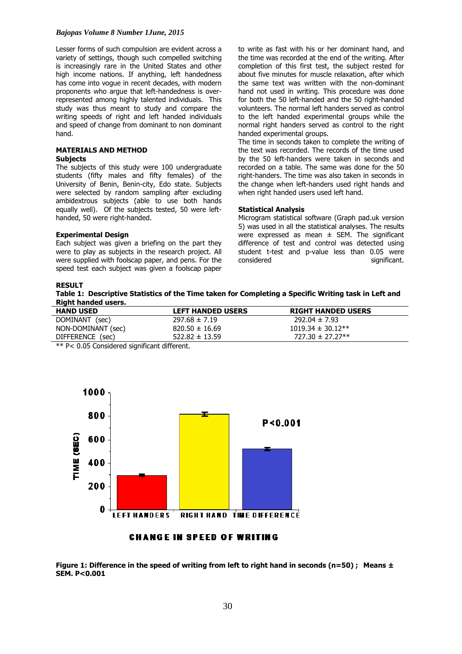## *Bajopas Volume 8 Number 1June, 2015*

Lesser forms of such compulsion are evident across a variety of settings, though such compelled switching is increasingly rare in the United States and other high income nations. If anything, left handedness has come into vogue in recent decades, with modern proponents who argue that left-handedness is overrepresented among highly talented individuals. This study was thus meant to study and compare the writing speeds of right and left handed individuals and speed of change from dominant to non dominant hand.

## **MATERIALS AND METHOD Subjects**

The subjects of this study were 100 undergraduate students (fifty males and fifty females) of the University of Benin, Benin-city, Edo state. Subjects were selected by random sampling after excluding ambidextrous subjects (able to use both hands equally well). Of the subjects tested, 50 were lefthanded, 50 were right-handed.

### **Experimental Design**

Each subject was given a briefing on the part they were to play as subjects in the research project. All were supplied with foolscap paper, and pens. For the speed test each subject was given a foolscap paper

to write as fast with his or her dominant hand, and the time was recorded at the end of the writing. After completion of this first test, the subject rested for about five minutes for muscle relaxation, after which the same text was written with the non-dominant hand not used in writing. This procedure was done for both the 50 left-handed and the 50 right-handed volunteers. The normal left handers served as control to the left handed experimental groups while the normal right handers served as control to the right handed experimental groups.

The time in seconds taken to complete the writing of the text was recorded. The records of the time used by the 50 left-handers were taken in seconds and recorded on a table. The same was done for the 50 right-handers. The time was also taken in seconds in the change when left-handers used right hands and when right handed users used left hand.

### **Statistical Analysis**

Microgram statistical software (Graph pad.uk version 5) was used in all the statistical analyses. The results were expressed as mean  $\pm$  SEM. The significant difference of test and control was detected using student t-test and p-value less than 0.05 were considered significant.

### **RESULT**

**Table 1: Descriptive Statistics of the Time taken for Completing a Specific Writing task in Left and Right handed users.** 

| <b>HAND USED</b>                            | <b>LEFT HANDED USERS</b> | <b>RIGHT HANDED USERS</b> |  |
|---------------------------------------------|--------------------------|---------------------------|--|
| DOMINANT (sec)                              | $297.68 \pm 7.19$        | $292.04 \pm 7.93$         |  |
| NON-DOMINANT (sec)                          | $820.50 \pm 16.69$       | $1019.34 \pm 30.12**$     |  |
| DIFFERENCE (sec)                            | $522.82 \pm 13.59$       | $727.30 \pm 27.27**$      |  |
| $\mathbf{a}$<br>$\sim$ $\sim$ $\sim$ $\sim$ |                          |                           |  |

\*\* P< 0.05 Considered significant different.





**Figure 1: Difference in the speed of writing from left to right hand in seconds (n=50) ; Means ± SEM. P<0.001**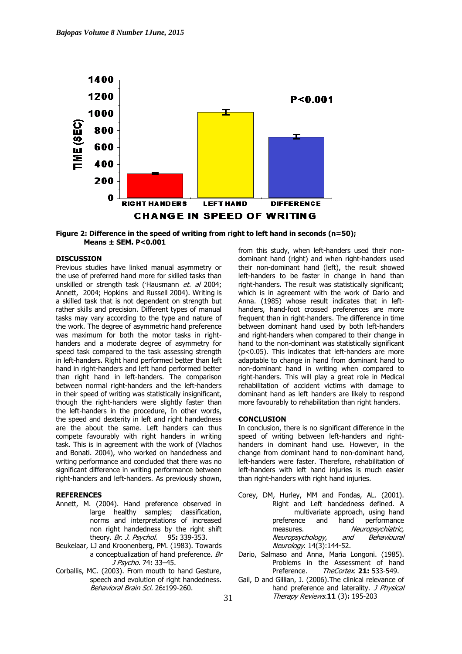

**Figure 2: Difference in the speed of writing from right to left hand in seconds (n=50); Means ± SEM. P<0.001**

# **DISCUSSION**

Previous studies have linked manual asymmetry or the use of preferred hand more for skilled tasks than unskilled or strength task (Hausmann et. al 2004; Annett, 2004; Hopkins and Russell 2004). Writing is a skilled task that is not dependent on strength but rather skills and precision. Different types of manual tasks may vary according to the type and nature of the work. The degree of asymmetric hand preference was maximum for both the motor tasks in righthanders and a moderate degree of asymmetry for speed task compared to the task assessing strength in left-handers. Right hand performed better than left hand in right-handers and left hand performed better than right hand in left-handers. The comparison between normal right-handers and the left-handers in their speed of writing was statistically insignificant, though the right-handers were slightly faster than the left-handers in the procedure, In other words, the speed and dexterity in left and right handedness are the about the same. Left handers can thus compete favourably with right handers in writing task. This is in agreement with the work of (Vlachos and Bonati. 2004), who worked on handedness and writing performance and concluded that there was no significant difference in writing performance between right-handers and left-handers. As previously shown,

#### **REFERENCES**

- Annett, M. (2004). Hand preference observed in large healthy samples; classification, norms and interpretations of increased non right handedness by the right shift theory. Br. J. Psychol. 95**:** 339-353.
- Beukelaar, LJ and Kroonenberg, PM. (1983). Towards a conceptualization of hand preference. Br J Psycho. 74**:** 33–45.
- Corballis, MC. (2003). From mouth to hand Gesture, speech and evolution of right handedness. Behavioral Brain Sci. 26**:**199-260.

from this study, when left-handers used their nondominant hand (right) and when right-handers used their non-dominant hand (left), the result showed left-handers to be faster in change in hand than right-handers. The result was statistically significant; which is in agreement with the work of Dario and Anna. (1985) whose result indicates that in lefthanders, hand-foot crossed preferences are more frequent than in right-handers. The difference in time between dominant hand used by both left-handers and right-handers when compared to their change in hand to the non-dominant was statistically significant (p<0.05). This indicates that left-handers are more adaptable to change in hand from dominant hand to non-dominant hand in writing when compared to right-handers. This will play a great role in Medical rehabilitation of accident victims with damage to dominant hand as left handers are likely to respond more favourably to rehabilitation than right handers.

#### **CONCLUSION**

In conclusion, there is no significant difference in the speed of writing between left-handers and righthanders in dominant hand use. However, in the change from dominant hand to non-dominant hand, left-handers were faster. Therefore, rehabilitation of left-handers with left hand injuries is much easier than right-handers with right hand injuries.

- Corey, DM, Hurley, MM and Fondas, AL. (2001). Right and Left handedness defined. A multivariate approach, using hand preference and hand performance measures. Neuropsychiatric, Neuropsychology, and Behavioural Neurology. 14(3):144-52.
- Dario, Salmaso and Anna, Maria Longoni. (1985). Problems in the Assessment of hand Preference. TheCortex. **21:** 533-549.
- Gail, D and Gillian, J. (2006).The clinical relevance of hand preference and laterality. J Physical 31 Therapy Reviews.**11** (3)**:** 195-203